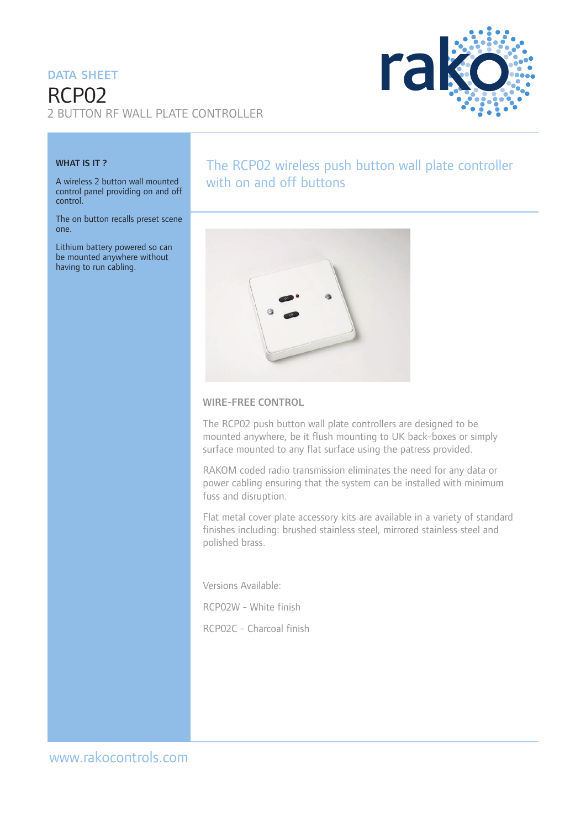#### DATA SHEFT

# RCP02 2 BUTTON RF WALL PLATE CONTROLLER



#### WHAT IS IT?

A wireless 2 button wall mounted control panel providing on and off control.

The on button recalls preset scene one.

Lithium battery powered so can be mounted anywhere without having to run cabling.

## The RCP02 wireless push button wall plate controller with on and off buttons



#### WIRE-FREE CONTROL

The RCP02 push button wall plate controllers are designed to be mounted anywhere, be it flush mounting to UK back-boxes or simply surface mounted to any flat surface using the patress provided.

RAKOM coded radio transmission eliminates the need for any data or power cabling ensuring that the system can be installed with minimum fuss and disruption.

Flat metal cover plate accessory kits are available in a variety of standard finishes including: brushed stainless steel, mirrored stainless steel and polished brass.

Versions Available:

RCP02W - White finish

RCP02C - Charcoal finish